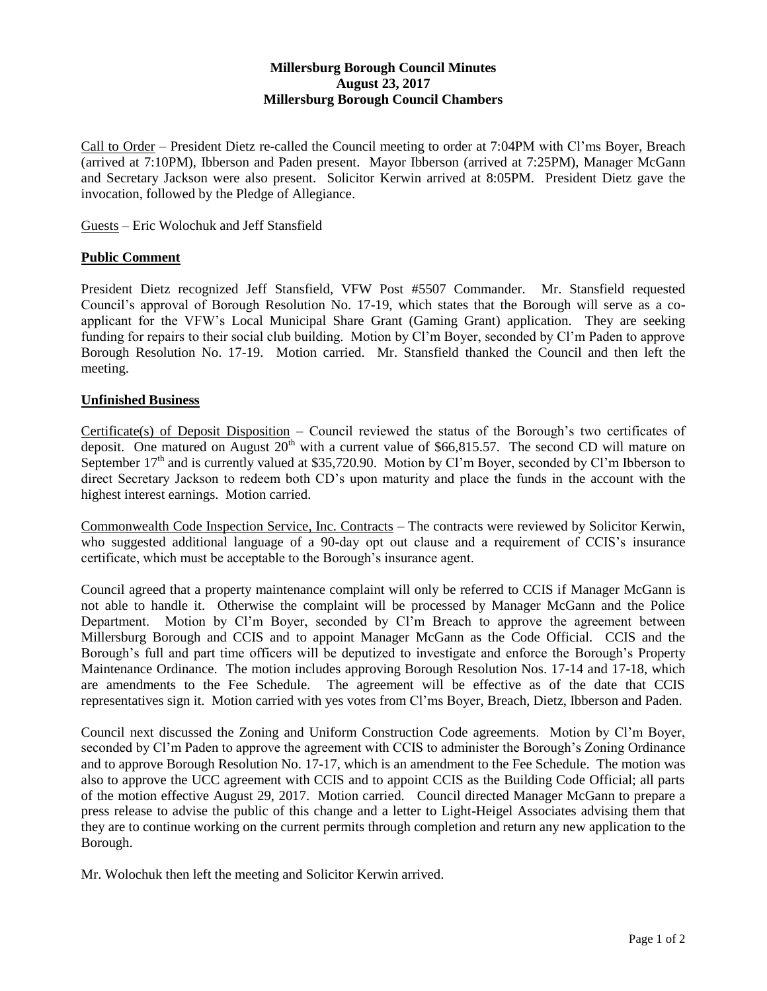## **Millersburg Borough Council Minutes August 23, 2017 Millersburg Borough Council Chambers**

Call to Order – President Dietz re-called the Council meeting to order at 7:04PM with Cl'ms Boyer, Breach (arrived at 7:10PM), Ibberson and Paden present. Mayor Ibberson (arrived at 7:25PM), Manager McGann and Secretary Jackson were also present. Solicitor Kerwin arrived at 8:05PM. President Dietz gave the invocation, followed by the Pledge of Allegiance.

Guests – Eric Wolochuk and Jeff Stansfield

## **Public Comment**

President Dietz recognized Jeff Stansfield, VFW Post #5507 Commander. Mr. Stansfield requested Council's approval of Borough Resolution No. 17-19, which states that the Borough will serve as a coapplicant for the VFW's Local Municipal Share Grant (Gaming Grant) application. They are seeking funding for repairs to their social club building. Motion by Cl'm Boyer, seconded by Cl'm Paden to approve Borough Resolution No. 17-19. Motion carried. Mr. Stansfield thanked the Council and then left the meeting.

## **Unfinished Business**

Certificate(s) of Deposit Disposition – Council reviewed the status of the Borough's two certificates of deposit. One matured on August  $20<sup>th</sup>$  with a current value of \$66,815.57. The second CD will mature on September  $17<sup>th</sup>$  and is currently valued at \$35,720.90. Motion by Cl'm Boyer, seconded by Cl'm Ibberson to direct Secretary Jackson to redeem both CD's upon maturity and place the funds in the account with the highest interest earnings. Motion carried.

Commonwealth Code Inspection Service, Inc. Contracts – The contracts were reviewed by Solicitor Kerwin, who suggested additional language of a 90-day opt out clause and a requirement of CCIS's insurance certificate, which must be acceptable to the Borough's insurance agent.

Council agreed that a property maintenance complaint will only be referred to CCIS if Manager McGann is not able to handle it. Otherwise the complaint will be processed by Manager McGann and the Police Department. Motion by Cl'm Boyer, seconded by Cl'm Breach to approve the agreement between Millersburg Borough and CCIS and to appoint Manager McGann as the Code Official. CCIS and the Borough's full and part time officers will be deputized to investigate and enforce the Borough's Property Maintenance Ordinance. The motion includes approving Borough Resolution Nos. 17-14 and 17-18, which are amendments to the Fee Schedule. The agreement will be effective as of the date that CCIS representatives sign it. Motion carried with yes votes from Cl'ms Boyer, Breach, Dietz, Ibberson and Paden.

Council next discussed the Zoning and Uniform Construction Code agreements. Motion by Cl'm Boyer, seconded by Cl'm Paden to approve the agreement with CCIS to administer the Borough's Zoning Ordinance and to approve Borough Resolution No. 17-17, which is an amendment to the Fee Schedule. The motion was also to approve the UCC agreement with CCIS and to appoint CCIS as the Building Code Official; all parts of the motion effective August 29, 2017. Motion carried. Council directed Manager McGann to prepare a press release to advise the public of this change and a letter to Light-Heigel Associates advising them that they are to continue working on the current permits through completion and return any new application to the Borough.

Mr. Wolochuk then left the meeting and Solicitor Kerwin arrived.